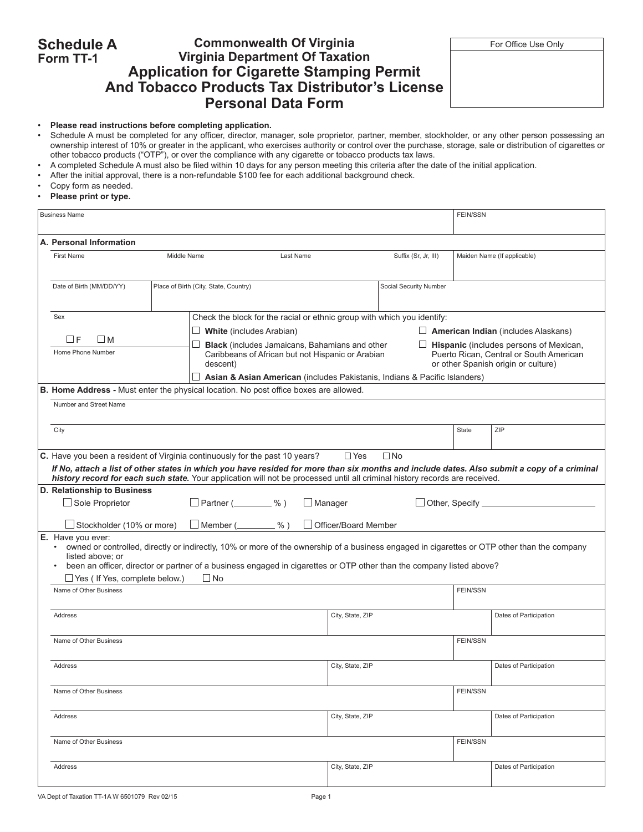#### **Schedule A Form TT-1 Commonwealth Of Virginia** For Office Use Only **Virginia Department Of Taxation Application for Cigarette Stamping Permit And Tobacco Products Tax Distributor's License Personal Data Form**

• **Please read instructions before completing application.**

- Schedule A must be completed for any officer, director, manager, sole proprietor, partner, member, stockholder, or any other person possessing an ownership interest of 10% or greater in the applicant, who exercises authority or control over the purchase, storage, sale or distribution of cigarettes or other tobacco products ("OTP"), or over the compliance with any cigarette or tobacco products tax laws.
- A completed Schedule A must also be filed within 10 days for any person meeting this criteria after the date of the initial application.
- After the initial approval, there is a non-refundable \$100 fee for each additional background check.
- Copy form as needed.
- • **Please print or type.**

|                                                                                                                        | <b>Business Name</b>                                                                                                                                                                                                                                                                                                                                                                    |                          |                                                                          |                  |                                                                                                                                                                                       |                      |                        |                 | <b>FEIN/SSN</b>                                                                                                                                                               |                             |  |  |  |
|------------------------------------------------------------------------------------------------------------------------|-----------------------------------------------------------------------------------------------------------------------------------------------------------------------------------------------------------------------------------------------------------------------------------------------------------------------------------------------------------------------------------------|--------------------------|--------------------------------------------------------------------------|------------------|---------------------------------------------------------------------------------------------------------------------------------------------------------------------------------------|----------------------|------------------------|-----------------|-------------------------------------------------------------------------------------------------------------------------------------------------------------------------------|-----------------------------|--|--|--|
|                                                                                                                        | A. Personal Information                                                                                                                                                                                                                                                                                                                                                                 |                          |                                                                          |                  |                                                                                                                                                                                       |                      |                        |                 |                                                                                                                                                                               |                             |  |  |  |
|                                                                                                                        | <b>First Name</b>                                                                                                                                                                                                                                                                                                                                                                       | Middle Name<br>Last Name |                                                                          |                  |                                                                                                                                                                                       | Suffix (Sr, Jr, III) |                        |                 | Maiden Name (If applicable)                                                                                                                                                   |                             |  |  |  |
|                                                                                                                        | Date of Birth (MM/DD/YY)                                                                                                                                                                                                                                                                                                                                                                |                          | Place of Birth (City, State, Country)                                    |                  |                                                                                                                                                                                       |                      | Social Security Number |                 |                                                                                                                                                                               |                             |  |  |  |
|                                                                                                                        | Sex<br>ПF<br>- I M<br>Home Phone Number                                                                                                                                                                                                                                                                                                                                                 |                          | $\Box$ White (includes Arabian)<br>descent)                              |                  | Check the block for the racial or ethnic group with which you identify:<br><b>Black</b> (includes Jamaicans, Bahamians and other<br>Caribbeans of African but not Hispanic or Arabian |                      |                        |                 | $\Box$ American Indian (includes Alaskans)<br>$\Box$ Hispanic (includes persons of Mexican,<br>Puerto Rican, Central or South American<br>or other Spanish origin or culture) |                             |  |  |  |
| Asian & Asian American (includes Pakistanis, Indians & Pacific Islanders)                                              |                                                                                                                                                                                                                                                                                                                                                                                         |                          |                                                                          |                  |                                                                                                                                                                                       |                      |                        |                 |                                                                                                                                                                               |                             |  |  |  |
| <b>B. Home Address - Must enter the physical location. No post office boxes are allowed.</b><br>Number and Street Name |                                                                                                                                                                                                                                                                                                                                                                                         |                          |                                                                          |                  |                                                                                                                                                                                       |                      |                        |                 |                                                                                                                                                                               |                             |  |  |  |
|                                                                                                                        | City                                                                                                                                                                                                                                                                                                                                                                                    |                          |                                                                          |                  |                                                                                                                                                                                       |                      |                        |                 | <b>State</b>                                                                                                                                                                  | ZIP                         |  |  |  |
|                                                                                                                        | C. Have you been a resident of Virginia continuously for the past 10 years?<br>$\square$ No<br>$\Box$ Yes<br>If No, attach a list of other states in which you have resided for more than six months and include dates. Also submit a copy of a criminal<br>history record for each such state. Your application will not be processed until all criminal history records are received. |                          |                                                                          |                  |                                                                                                                                                                                       |                      |                        |                 |                                                                                                                                                                               |                             |  |  |  |
|                                                                                                                        | D. Relationship to Business<br>$\Box$ Sole Proprietor<br>Stockholder (10% or more)                                                                                                                                                                                                                                                                                                      |                          | $\Box$ Partner ( $\_\_\_\_\_\$ %)<br>$\Box$ Member ( $\_\_\_\_\_\_\_\_\$ | $%$ )            | $\Box$ Manager                                                                                                                                                                        | Officer/Board Member |                        |                 |                                                                                                                                                                               | Other, Specify ____________ |  |  |  |
|                                                                                                                        | E. Have you ever:<br>• owned or controlled, directly or indirectly, 10% or more of the ownership of a business engaged in cigarettes or OTP other than the company<br>listed above; or<br>been an officer, director or partner of a business engaged in cigarettes or OTP other than the company listed above?<br>$\Box$ Yes ( If Yes, complete below.)<br>$\square$ No                 |                          |                                                                          |                  |                                                                                                                                                                                       |                      |                        |                 |                                                                                                                                                                               |                             |  |  |  |
|                                                                                                                        | Name of Other Business                                                                                                                                                                                                                                                                                                                                                                  |                          |                                                                          |                  |                                                                                                                                                                                       |                      |                        |                 | <b>FEIN/SSN</b>                                                                                                                                                               |                             |  |  |  |
|                                                                                                                        | Address<br>Name of Other Business<br><b>Address</b><br>Name of Other Business<br>Address                                                                                                                                                                                                                                                                                                |                          |                                                                          |                  |                                                                                                                                                                                       | City, State, ZIP     |                        |                 |                                                                                                                                                                               | Dates of Participation      |  |  |  |
|                                                                                                                        |                                                                                                                                                                                                                                                                                                                                                                                         |                          |                                                                          |                  |                                                                                                                                                                                       |                      |                        |                 | <b>FEIN/SSN</b>                                                                                                                                                               |                             |  |  |  |
|                                                                                                                        |                                                                                                                                                                                                                                                                                                                                                                                         |                          |                                                                          |                  |                                                                                                                                                                                       | City, State, ZIP     |                        |                 |                                                                                                                                                                               | Dates of Participation      |  |  |  |
|                                                                                                                        |                                                                                                                                                                                                                                                                                                                                                                                         |                          |                                                                          |                  | City, State, ZIP                                                                                                                                                                      |                      |                        | <b>FEIN/SSN</b> |                                                                                                                                                                               |                             |  |  |  |
|                                                                                                                        |                                                                                                                                                                                                                                                                                                                                                                                         |                          |                                                                          |                  |                                                                                                                                                                                       |                      |                        |                 | Dates of Participation                                                                                                                                                        |                             |  |  |  |
| Name of Other Business                                                                                                 |                                                                                                                                                                                                                                                                                                                                                                                         |                          |                                                                          |                  |                                                                                                                                                                                       |                      |                        | <b>FEIN/SSN</b> |                                                                                                                                                                               |                             |  |  |  |
| Address                                                                                                                |                                                                                                                                                                                                                                                                                                                                                                                         |                          |                                                                          | City, State, ZIP |                                                                                                                                                                                       |                      | Dates of Participation |                 |                                                                                                                                                                               |                             |  |  |  |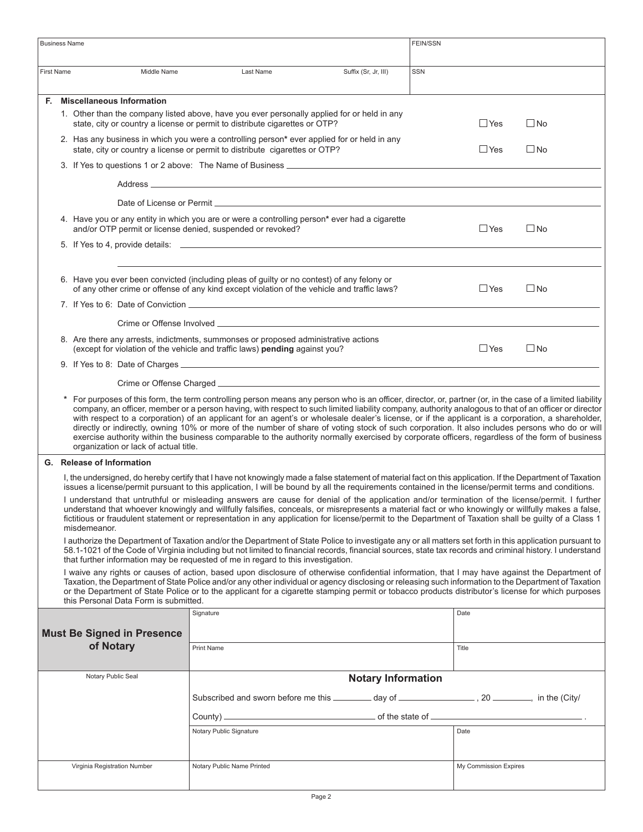| <b>Business Name</b>                                                                                                                                                                                                                                                                                              |                                                                                                                                                                                                                                                                                                                                                                                                                                                               |                                                                                                                                                                                                                                                                                                                                                                                                                                                                                                                                                                                                                                                                                                                                                                             |                           | FEIN/SSN |                       |              |  |  |  |
|-------------------------------------------------------------------------------------------------------------------------------------------------------------------------------------------------------------------------------------------------------------------------------------------------------------------|---------------------------------------------------------------------------------------------------------------------------------------------------------------------------------------------------------------------------------------------------------------------------------------------------------------------------------------------------------------------------------------------------------------------------------------------------------------|-----------------------------------------------------------------------------------------------------------------------------------------------------------------------------------------------------------------------------------------------------------------------------------------------------------------------------------------------------------------------------------------------------------------------------------------------------------------------------------------------------------------------------------------------------------------------------------------------------------------------------------------------------------------------------------------------------------------------------------------------------------------------------|---------------------------|----------|-----------------------|--------------|--|--|--|
| <b>First Name</b>                                                                                                                                                                                                                                                                                                 | Middle Name                                                                                                                                                                                                                                                                                                                                                                                                                                                   | Last Name                                                                                                                                                                                                                                                                                                                                                                                                                                                                                                                                                                                                                                                                                                                                                                   | Suffix (Sr, Jr, III)      | SSN      |                       |              |  |  |  |
| Е.                                                                                                                                                                                                                                                                                                                | <b>Miscellaneous Information</b>                                                                                                                                                                                                                                                                                                                                                                                                                              |                                                                                                                                                                                                                                                                                                                                                                                                                                                                                                                                                                                                                                                                                                                                                                             |                           |          |                       |              |  |  |  |
|                                                                                                                                                                                                                                                                                                                   |                                                                                                                                                                                                                                                                                                                                                                                                                                                               | 1. Other than the company listed above, have you ever personally applied for or held in any<br>state, city or country a license or permit to distribute cigarettes or OTP?                                                                                                                                                                                                                                                                                                                                                                                                                                                                                                                                                                                                  |                           |          | $\Box$ Yes            | $\square$ No |  |  |  |
|                                                                                                                                                                                                                                                                                                                   |                                                                                                                                                                                                                                                                                                                                                                                                                                                               | 2. Has any business in which you were a controlling person* ever applied for or held in any<br>state, city or country a license or permit to distribute cigarettes or OTP?                                                                                                                                                                                                                                                                                                                                                                                                                                                                                                                                                                                                  |                           |          | $\Box$ Yes            | $\Box$ No    |  |  |  |
|                                                                                                                                                                                                                                                                                                                   |                                                                                                                                                                                                                                                                                                                                                                                                                                                               |                                                                                                                                                                                                                                                                                                                                                                                                                                                                                                                                                                                                                                                                                                                                                                             |                           |          |                       |              |  |  |  |
|                                                                                                                                                                                                                                                                                                                   |                                                                                                                                                                                                                                                                                                                                                                                                                                                               |                                                                                                                                                                                                                                                                                                                                                                                                                                                                                                                                                                                                                                                                                                                                                                             |                           |          |                       |              |  |  |  |
|                                                                                                                                                                                                                                                                                                                   |                                                                                                                                                                                                                                                                                                                                                                                                                                                               |                                                                                                                                                                                                                                                                                                                                                                                                                                                                                                                                                                                                                                                                                                                                                                             |                           |          |                       |              |  |  |  |
|                                                                                                                                                                                                                                                                                                                   | and/or OTP permit or license denied, suspended or revoked?                                                                                                                                                                                                                                                                                                                                                                                                    | 4. Have you or any entity in which you are or were a controlling person* ever had a cigarette                                                                                                                                                                                                                                                                                                                                                                                                                                                                                                                                                                                                                                                                               |                           |          | $\Box$ Yes            | $\square$ No |  |  |  |
|                                                                                                                                                                                                                                                                                                                   |                                                                                                                                                                                                                                                                                                                                                                                                                                                               |                                                                                                                                                                                                                                                                                                                                                                                                                                                                                                                                                                                                                                                                                                                                                                             |                           |          |                       |              |  |  |  |
|                                                                                                                                                                                                                                                                                                                   |                                                                                                                                                                                                                                                                                                                                                                                                                                                               |                                                                                                                                                                                                                                                                                                                                                                                                                                                                                                                                                                                                                                                                                                                                                                             |                           |          |                       |              |  |  |  |
|                                                                                                                                                                                                                                                                                                                   |                                                                                                                                                                                                                                                                                                                                                                                                                                                               | 6. Have you ever been convicted (including pleas of guilty or no contest) of any felony or<br>of any other crime or offense of any kind except violation of the vehicle and traffic laws?                                                                                                                                                                                                                                                                                                                                                                                                                                                                                                                                                                                   |                           |          | $\Box$ Yes            | $\square$ No |  |  |  |
|                                                                                                                                                                                                                                                                                                                   |                                                                                                                                                                                                                                                                                                                                                                                                                                                               |                                                                                                                                                                                                                                                                                                                                                                                                                                                                                                                                                                                                                                                                                                                                                                             |                           |          |                       |              |  |  |  |
|                                                                                                                                                                                                                                                                                                                   |                                                                                                                                                                                                                                                                                                                                                                                                                                                               |                                                                                                                                                                                                                                                                                                                                                                                                                                                                                                                                                                                                                                                                                                                                                                             |                           |          |                       |              |  |  |  |
|                                                                                                                                                                                                                                                                                                                   |                                                                                                                                                                                                                                                                                                                                                                                                                                                               | 8. Are there any arrests, indictments, summonses or proposed administrative actions<br>(except for violation of the vehicle and traffic laws) pending against you?                                                                                                                                                                                                                                                                                                                                                                                                                                                                                                                                                                                                          |                           |          | $\sqcup$ Yes          | $\square$ No |  |  |  |
|                                                                                                                                                                                                                                                                                                                   |                                                                                                                                                                                                                                                                                                                                                                                                                                                               |                                                                                                                                                                                                                                                                                                                                                                                                                                                                                                                                                                                                                                                                                                                                                                             |                           |          |                       |              |  |  |  |
|                                                                                                                                                                                                                                                                                                                   |                                                                                                                                                                                                                                                                                                                                                                                                                                                               |                                                                                                                                                                                                                                                                                                                                                                                                                                                                                                                                                                                                                                                                                                                                                                             |                           |          |                       |              |  |  |  |
|                                                                                                                                                                                                                                                                                                                   | organization or lack of actual title.                                                                                                                                                                                                                                                                                                                                                                                                                         | For purposes of this form, the term controlling person means any person who is an officer, director, or, partner (or, in the case of a limited liability<br>company, an officer, member or a person having, with respect to such limited liability company, authority analogous to that of an officer or director<br>with respect to a corporation) of an applicant for an agent's or wholesale dealer's license, or if the applicant is a corporation, a shareholder,<br>directly or indirectly, owning 10% or more of the number of share of voting stock of such corporation. It also includes persons who do or will<br>exercise authority within the business comparable to the authority normally exercised by corporate officers, regardless of the form of business |                           |          |                       |              |  |  |  |
|                                                                                                                                                                                                                                                                                                                   | G. Release of Information                                                                                                                                                                                                                                                                                                                                                                                                                                     |                                                                                                                                                                                                                                                                                                                                                                                                                                                                                                                                                                                                                                                                                                                                                                             |                           |          |                       |              |  |  |  |
| I, the undersigned, do hereby certify that I have not knowingly made a false statement of material fact on this application. If the Department of Taxation<br>issues a license/permit pursuant to this application, I will be bound by all the requirements contained in the license/permit terms and conditions. |                                                                                                                                                                                                                                                                                                                                                                                                                                                               |                                                                                                                                                                                                                                                                                                                                                                                                                                                                                                                                                                                                                                                                                                                                                                             |                           |          |                       |              |  |  |  |
| misdemeanor.                                                                                                                                                                                                                                                                                                      |                                                                                                                                                                                                                                                                                                                                                                                                                                                               | I understand that untruthful or misleading answers are cause for denial of the application and/or termination of the license/permit. I further<br>understand that whoever knowingly and willfully falsifies, conceals, or misrepresents a material fact or who knowingly or willfully makes a false,<br>fictitious or fraudulent statement or representation in any application for license/permit to the Department of Taxation shall be quilty of a Class 1                                                                                                                                                                                                                                                                                                               |                           |          |                       |              |  |  |  |
| that further information may be requested of me in regard to this investigation.                                                                                                                                                                                                                                  |                                                                                                                                                                                                                                                                                                                                                                                                                                                               | I authorize the Department of Taxation and/or the Department of State Police to investigate any or all matters set forth in this application pursuant to<br>58.1-1021 of the Code of Virginia including but not limited to financial records, financial sources, state tax records and criminal history. I understand                                                                                                                                                                                                                                                                                                                                                                                                                                                       |                           |          |                       |              |  |  |  |
| this Personal Data Form is submitted.                                                                                                                                                                                                                                                                             | I waive any rights or causes of action, based upon disclosure of otherwise confidential information, that I may have against the Department of<br>Taxation, the Department of State Police and/or any other individual or agency disclosing or releasing such information to the Department of Taxation<br>or the Department of State Police or to the applicant for a cigarette stamping permit or tobacco products distributor's license for which purposes |                                                                                                                                                                                                                                                                                                                                                                                                                                                                                                                                                                                                                                                                                                                                                                             |                           |          |                       |              |  |  |  |
|                                                                                                                                                                                                                                                                                                                   |                                                                                                                                                                                                                                                                                                                                                                                                                                                               | Signature                                                                                                                                                                                                                                                                                                                                                                                                                                                                                                                                                                                                                                                                                                                                                                   |                           |          | Date                  |              |  |  |  |
|                                                                                                                                                                                                                                                                                                                   | <b>Must Be Signed in Presence</b>                                                                                                                                                                                                                                                                                                                                                                                                                             |                                                                                                                                                                                                                                                                                                                                                                                                                                                                                                                                                                                                                                                                                                                                                                             |                           |          |                       |              |  |  |  |
|                                                                                                                                                                                                                                                                                                                   | of Notary                                                                                                                                                                                                                                                                                                                                                                                                                                                     | Print Name                                                                                                                                                                                                                                                                                                                                                                                                                                                                                                                                                                                                                                                                                                                                                                  |                           |          | Title                 |              |  |  |  |
|                                                                                                                                                                                                                                                                                                                   | Notary Public Seal                                                                                                                                                                                                                                                                                                                                                                                                                                            |                                                                                                                                                                                                                                                                                                                                                                                                                                                                                                                                                                                                                                                                                                                                                                             | <b>Notary Information</b> |          |                       |              |  |  |  |
|                                                                                                                                                                                                                                                                                                                   |                                                                                                                                                                                                                                                                                                                                                                                                                                                               | Subscribed and sworn before me this _________ day of _____________________________, in the (City/                                                                                                                                                                                                                                                                                                                                                                                                                                                                                                                                                                                                                                                                           |                           |          |                       |              |  |  |  |
|                                                                                                                                                                                                                                                                                                                   |                                                                                                                                                                                                                                                                                                                                                                                                                                                               |                                                                                                                                                                                                                                                                                                                                                                                                                                                                                                                                                                                                                                                                                                                                                                             |                           |          |                       |              |  |  |  |
|                                                                                                                                                                                                                                                                                                                   |                                                                                                                                                                                                                                                                                                                                                                                                                                                               | Notary Public Signature                                                                                                                                                                                                                                                                                                                                                                                                                                                                                                                                                                                                                                                                                                                                                     |                           |          | Date                  |              |  |  |  |
|                                                                                                                                                                                                                                                                                                                   |                                                                                                                                                                                                                                                                                                                                                                                                                                                               |                                                                                                                                                                                                                                                                                                                                                                                                                                                                                                                                                                                                                                                                                                                                                                             |                           |          |                       |              |  |  |  |
|                                                                                                                                                                                                                                                                                                                   | Virginia Registration Number                                                                                                                                                                                                                                                                                                                                                                                                                                  | Notary Public Name Printed                                                                                                                                                                                                                                                                                                                                                                                                                                                                                                                                                                                                                                                                                                                                                  |                           |          | My Commission Expires |              |  |  |  |